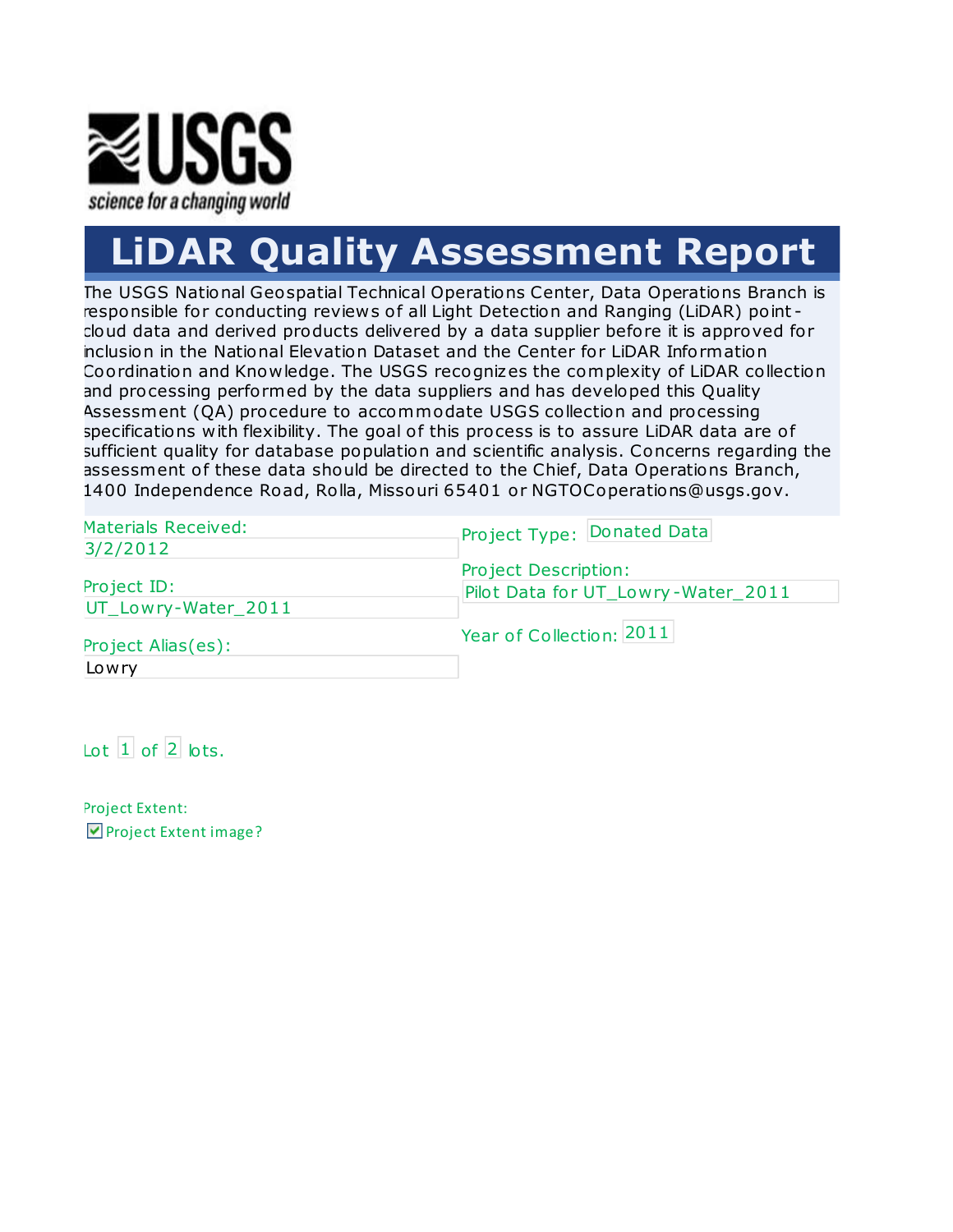

# **LiDAR Quality Assessment Report**

The USGS National Geospatial Technical Operations Center, Data Operations Branch is responsible for conducting reviews of all Light Detection and Ranging (LiDAR) point cloud data and derived products delivered by a data supplier before it is approved for inclusion in the National Elevation Dataset and the Center for LiDAR Information Coordination and Knowledge. The USGS recognizes the complexity of LiDAR collection and pro cessing performed by the data suppliers and has developed this Quality Assessment (OA) procedure to accommodate USGS collection and processing specifications with flexibility. The goal of this process is to assure LiDAR data are of sufficient quality for database population and scientific analysis. Concerns regarding the assessment of these data should be directed to the Chief, Data Operations Branch, 1400 Independence Road, Rolla, Missouri 65401 or NGTOCoperations@usgs.gov.

| <b>Materials Received:</b> | Project Type: Donated Data         |
|----------------------------|------------------------------------|
| 3/2/2012                   |                                    |
|                            | Project Description:               |
| Project ID:                | Pilot Data for UT_Lowry-Water_2011 |
| UT_Lowry-Water_2011        |                                    |
| Project Alias(es):         | Year of Collection: 2011           |
| Lowry                      |                                    |

 $\left| \right|$  of  $\left| 2 \right|$  lots.

Project Extent: Project Extent image?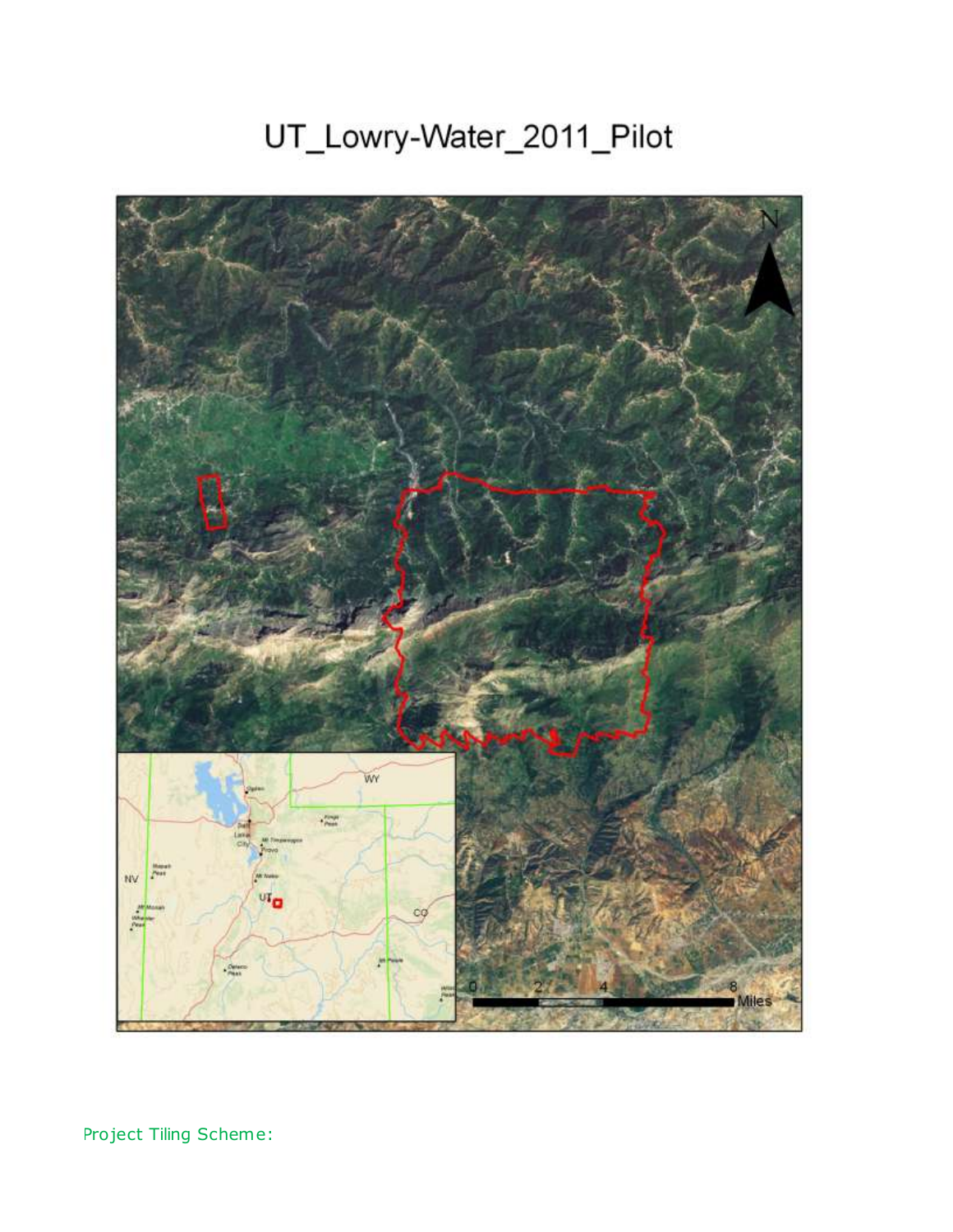## UT\_Lowry-Water\_2011\_Pilot



Project Tiling Scheme: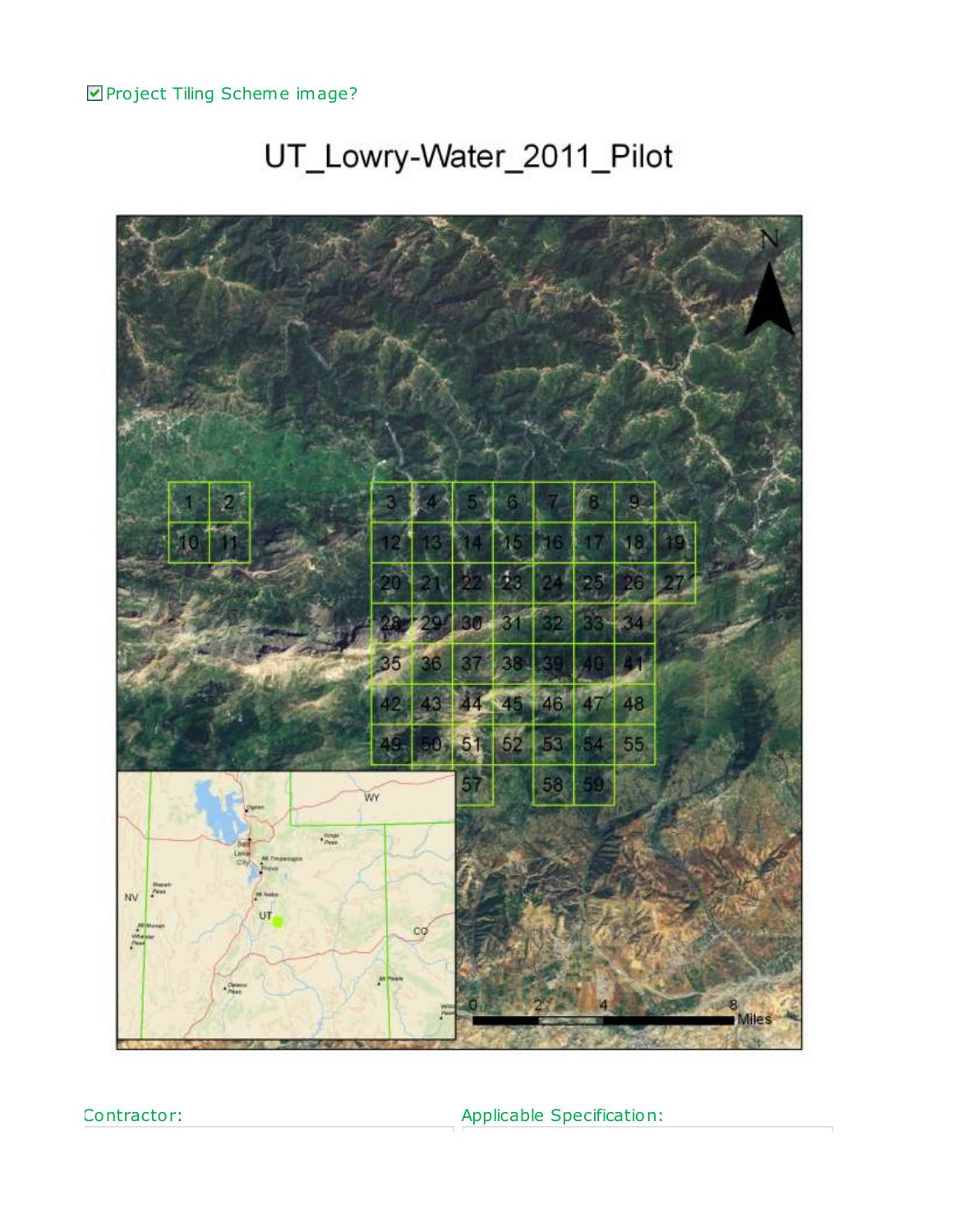**Project Tiling Scheme image?** 

# 30 34 38 36 81 44 45 46 48 47 52 55 53  $51$ WY  $\begin{array}{l} \epsilon_{\text{Peyl}} \\ \epsilon_{\text{Peyl}}^{\text{MSPH}} \end{array}$ **A** NV co

## UT\_Lowry-Water\_2011\_Pilot

Contractor:

Applicable Specification: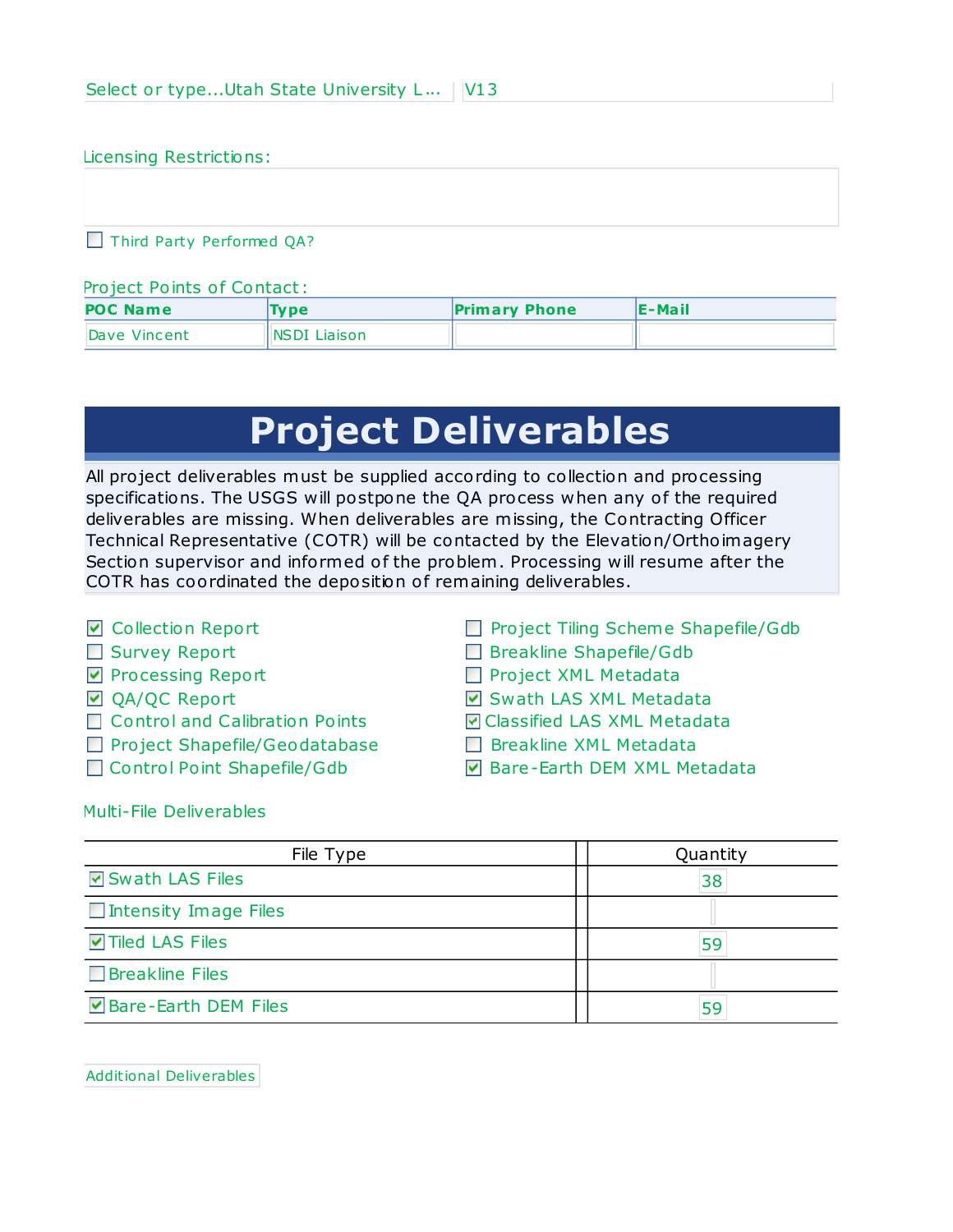#### Licensing Restrictions:

Third Party Performed QA?

#### Pro ject Points of Contact:

| <b>POC Name</b> | <b>Type</b>   | <b>Primary Phone</b> | IE-Mail |  |  |  |
|-----------------|---------------|----------------------|---------|--|--|--|
| Dave Vincent    | INSDI Liaison |                      |         |  |  |  |

## **Project Deliverables**

All project deliverables must be supplied according to collection and processing specifications. The USGS will postpone the QA process when any of the required deliverables are missing. When deliverables are missing, the Contracting Officer Technical Representative (COTR) will be contacted by the Elevation/Orthoimagery Section supervisor and informed of the problem. Processing will resume after the COTR has coordinated the deposition of remaining deliverables.

- **☑** Collection Report
- Survey Report
- **Processing Report**
- **☑** QA/QC Report
- □ Control and Calibration Points
- **Project Shapefile/Geodatabase**
- □ Control Point Shapefile/Gdb
- Project Tiling Scheme Shapefile/Gdb
- Breakline Shapefile/Gdb
- Project XML Metadata
- **Ø** Swath LAS XML Metadata
- Classified LAS XML Metadata
- **Breakline XML Metadata**
- **Ø** Bare-Earth DEM XML Metadata

Multi-File Deliverables

| File Type                | Quantity |  |  |  |
|--------------------------|----------|--|--|--|
| <b>☑</b> Swath LAS Files | 38       |  |  |  |
| Intensity Image Files    |          |  |  |  |
| <b>ØTiled LAS Files</b>  | 59       |  |  |  |
| $\Box$ Breakline Files   |          |  |  |  |
| ☑ Bare-Earth DEM Files   | 59       |  |  |  |

Additional Deliverables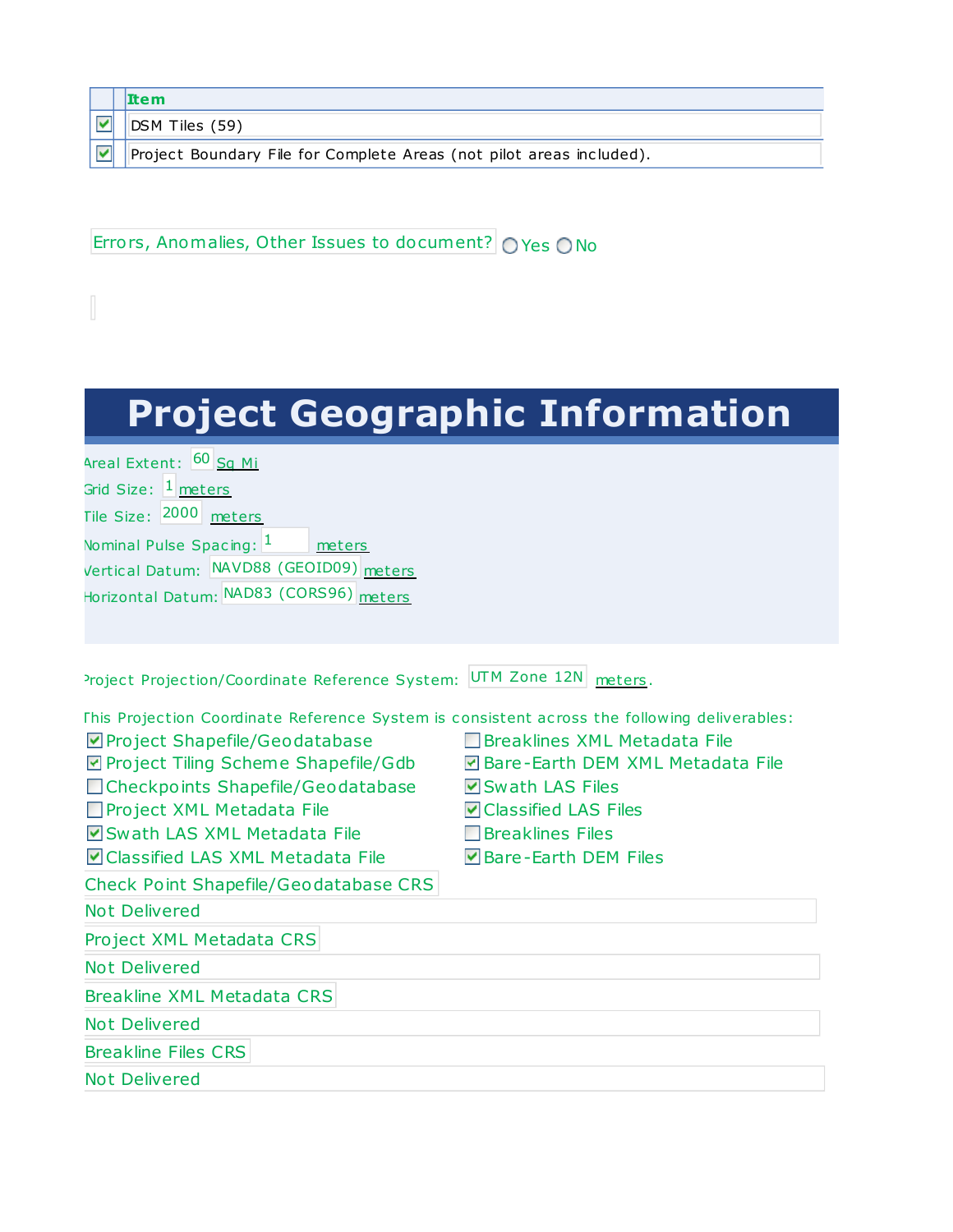**Item** ☑

DSM Tiles (59)

 $\blacktriangledown$ Project Boundary File for Complete Areas (not pilot areas included).

Errors, Anomalies, Other Issues to document? OYes ONo

## **Project Geographic Information**

Areal Extent: 60 Sq Mi Grid Size: <sup>1</sup> meters Tile Size: 2000 meters Nominal Pulse Spacing: 1 meters Vertical Datum: NAVD88 (GEOID09) meters Horizontal Datum: NAD83 (CORS96) meters

Project Projection/Coordinate Reference System: UTM Zone 12N meters.

| This Projection Coordinate Reference System is consistent across the following deliverables: |                                    |
|----------------------------------------------------------------------------------------------|------------------------------------|
| Project Shapefile/Geodatabase                                                                | l IBreaklines XML Metadata File    |
| ☑ Project Tiling Scheme Shapefile/Gdb                                                        | ☑ Bare-Earth DEM XML Metadata File |
| □ Checkpoints Shapefile/Geodatabase                                                          | Swath LAS Files                    |
| Project XML Metadata File                                                                    | <b>▽</b> Classified LAS Files      |
| Swath LAS XML Metadata File                                                                  | <b>Breaklines Files</b>            |
| Classified LAS XML Metadata File                                                             | IvIBare-Earth DEM Files            |
| Check Point Shapefile/Geodatabase CRS                                                        |                                    |
| <b>Not Delivered</b>                                                                         |                                    |
| Project XML Metadata CRS                                                                     |                                    |
| <b>Not Delivered</b>                                                                         |                                    |
| Breakline XML Metadata CRS                                                                   |                                    |
| Not Delivered                                                                                |                                    |
| <b>Breakline Files CRS</b>                                                                   |                                    |
| Not Delivered                                                                                |                                    |
|                                                                                              |                                    |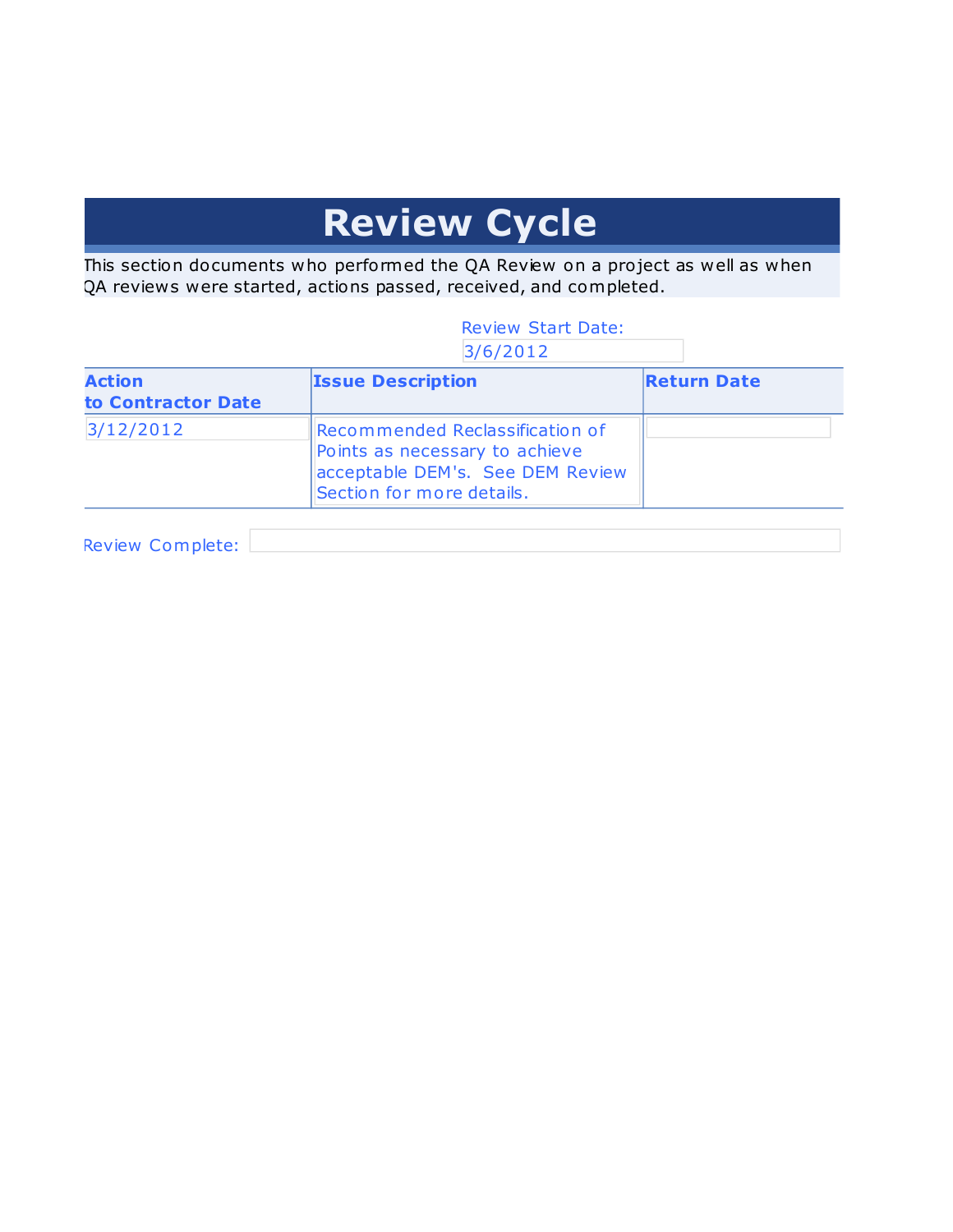## **Review Cycle**

This section documents who performed the QA Review on a project as well as when QA reviews were started, actions passed, received, and completed.

#### Review Start Date: 3/6/2012

| <b>Action</b><br>to Contractor Date | <b>Issue Description</b>                                                                                                           | <b>Return Date</b> |  |  |  |
|-------------------------------------|------------------------------------------------------------------------------------------------------------------------------------|--------------------|--|--|--|
| 3/12/2012                           | Recommended Reclassification of<br>Points as necessary to achieve<br>acceptable DEM's. See DEM Review<br>Section for more details. |                    |  |  |  |

Review Complete: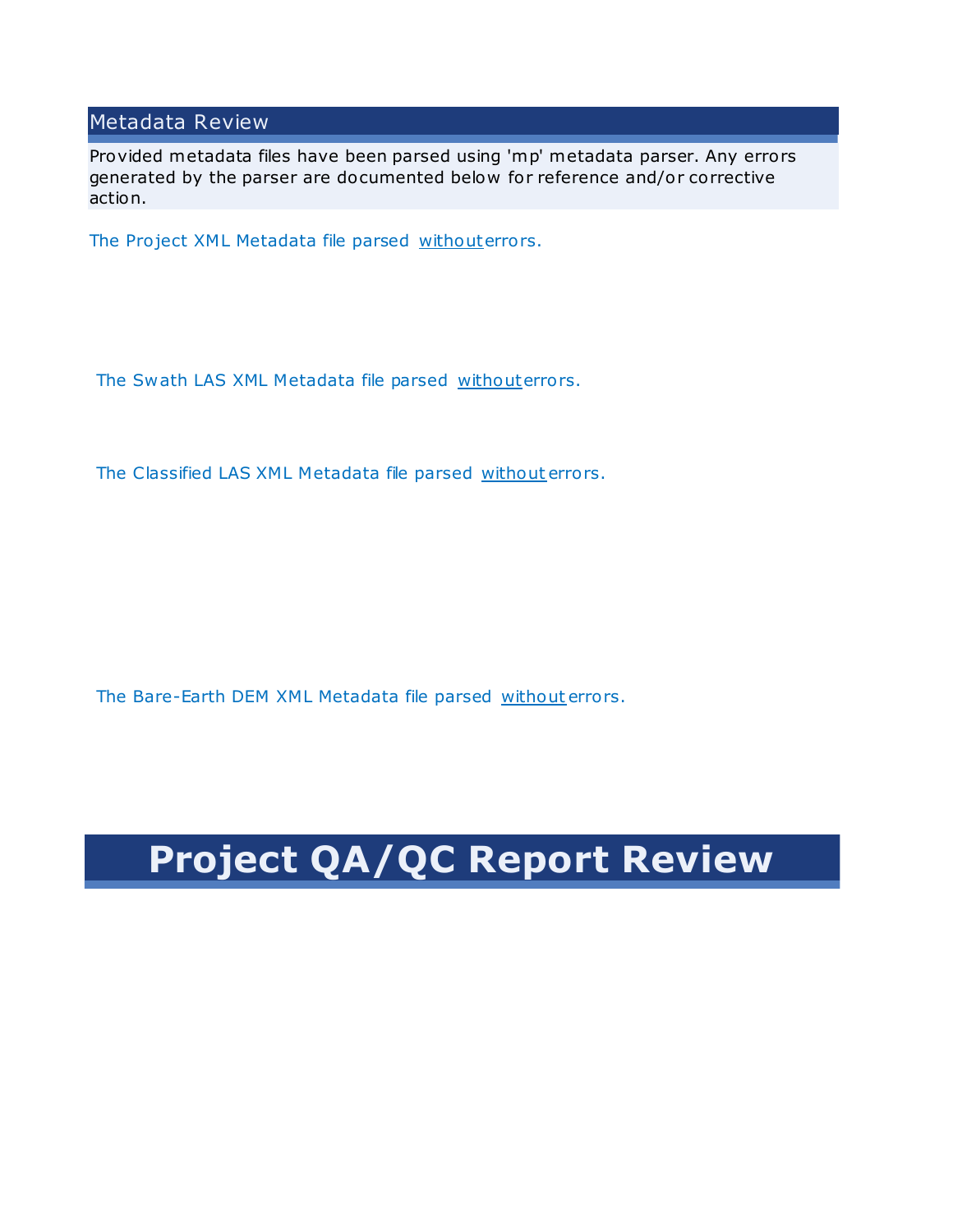#### Metadata Review

Provided metadata files have been parsed using 'mp' metadata parser. Any errors generated by the parser are do cumented below for reference and/or corrective action.

The Project XML Metadata file parsed withouterrors.

The Swath LAS XML Metadata file parsed withouterrors.

The Classified LAS XML Metadata file parsed without errors.

The Bare-Earth DEM XML Metadata file parsed without errors.

## **Project QA/QC Report Review**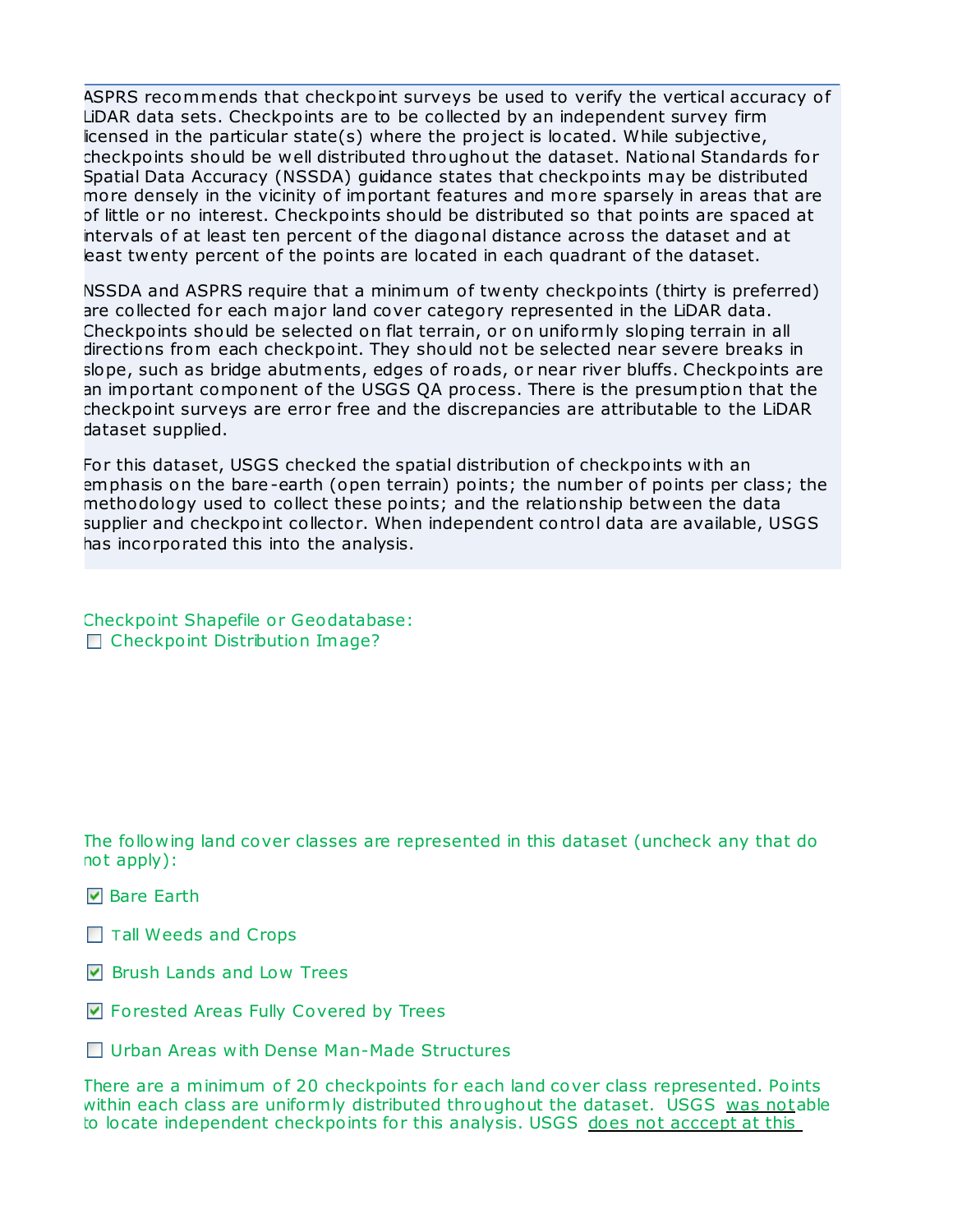ASPRS recommends that checkpoint surveys be used to verify the vertical accuracy of LiDAR data sets. Checkpoints are to be collected by an independent survey firm  $i$  licensed in the particular state(s) where the project is located. While subjective, checkpoints should be well distributed throughout the dataset. National Standards for Spatial Data Accuracy (NSSDA) guidance states that checkpoints may be distributed more densely in the vicinity of important features and more sparsely in areas that are of little or no interest. Checkpoints should be distributed so that points are spaced at intervals of at least ten percent of the diagonal distance across the dataset and at least twenty percent of the points are located in each quadrant of the dataset.

NSSDA and ASPRS require that a minimum of twenty checkpoints (thirty is preferred) are collected for each major land cover category represented in the LiDAR data. Checkpoints should be selected on flat terrain, or on uniformly sloping terrain in all directions from each checkpoint. They should not be selected near severe breaks in slope, such as bridge abutments, edges of roads, or near river bluffs. Checkpoints are an important component of the USGS QA process. There is the presumption that the checkpoint surveys are error free and the discrepancies are attributable to the LiDAR dataset supplied.

For this dataset, USGS checked the spatial distribution of checkpoints with an emphasis on the bare-earth (open terrain) points; the number of points per class; the methodology used to collect these points; and the relationship between the data supplier and checkpoint collector. When independent control data are available, USGS has incorporated this into the analysis.

Checkpoint Shapefile or Geodatabase: Checkpoint Distribution Image?

The following land cover classes are represented in this dataset (uncheck any that do not apply):

- **V** Bare Earth
- $\Box$  Tall Weeds and Crops
- **■** Brush Lands and Low Trees
- Forested Areas Fully Covered by Trees
- □ Urban Areas with Dense Man-Made Structures

There are a minimum of 20 checkpoints for each land cover class represented. Points within each class are uniformly distributed throughout the dataset. USGS was notable to locate independent checkpoints for this analysis. USGS does not acccept at this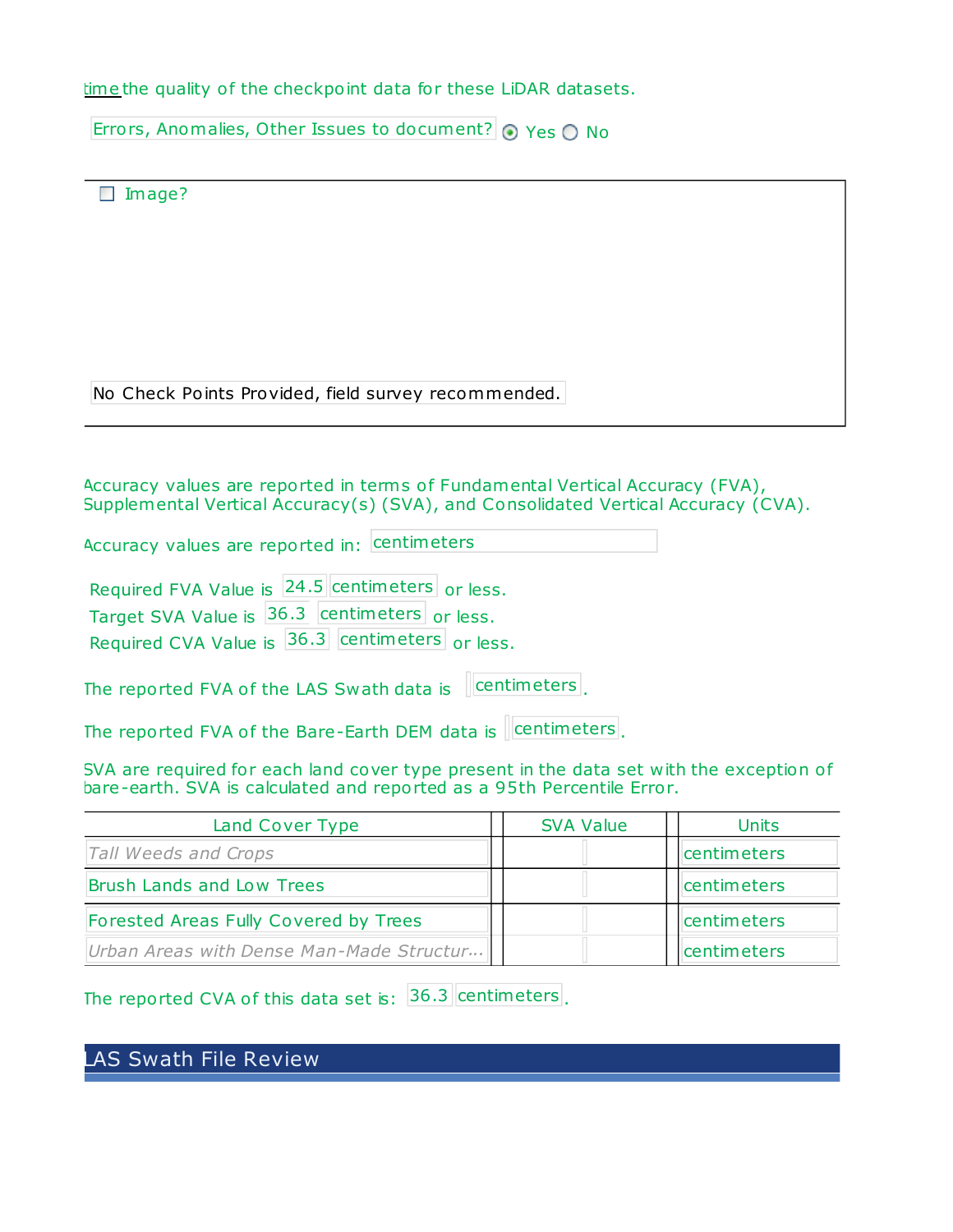time the quality of the checkpoint data for these LiDAR datasets.

Errors, Anomalies, Other Issues to document?  $\odot$  Yes  $\odot$  No

| Image?                                                                                                                                                              |                  |              |
|---------------------------------------------------------------------------------------------------------------------------------------------------------------------|------------------|--------------|
|                                                                                                                                                                     |                  |              |
| No Check Points Provided, field survey recommended.                                                                                                                 |                  |              |
|                                                                                                                                                                     |                  |              |
| Accuracy values are reported in terms of Fundamental Vertical Accuracy (FVA),<br>Supplemental Vertical Accuracy(s) (SVA), and Consolidated Vertical Accuracy (CVA). |                  |              |
| Accuracy values are reported in: centimeters                                                                                                                        |                  |              |
| Required FVA Value is 24.5 centimeters or less.<br>Target SVA Value is 36.3 centimeters or less.                                                                    |                  |              |
| Required CVA Value is 36.3 centimeters or less.                                                                                                                     |                  |              |
| The reported FVA of the LAS Swath data is                                                                                                                           | centimeters      |              |
| The reported FVA of the Bare-Earth DEM data is Centimeters.                                                                                                         |                  |              |
| SVA are required for each land cover type present in the data set with the exception of<br>bare-earth. SVA is calculated and reported as a 95th Percentile Error.   |                  |              |
| Land Cover Type                                                                                                                                                     | <b>SVA Value</b> | <b>Units</b> |
| Tall Weeds and Crops                                                                                                                                                |                  | centimeters  |

| Brush Lands and Low Trees                |  |  | centimeters        |
|------------------------------------------|--|--|--------------------|
| Forested Areas Fully Covered by Trees    |  |  | centimeters        |
| Urban Areas with Dense Man-Made Structur |  |  | <b>Centimeters</b> |

The reported CVA of this data set is:  $36.3$  centimeters.

LAS Swath File Review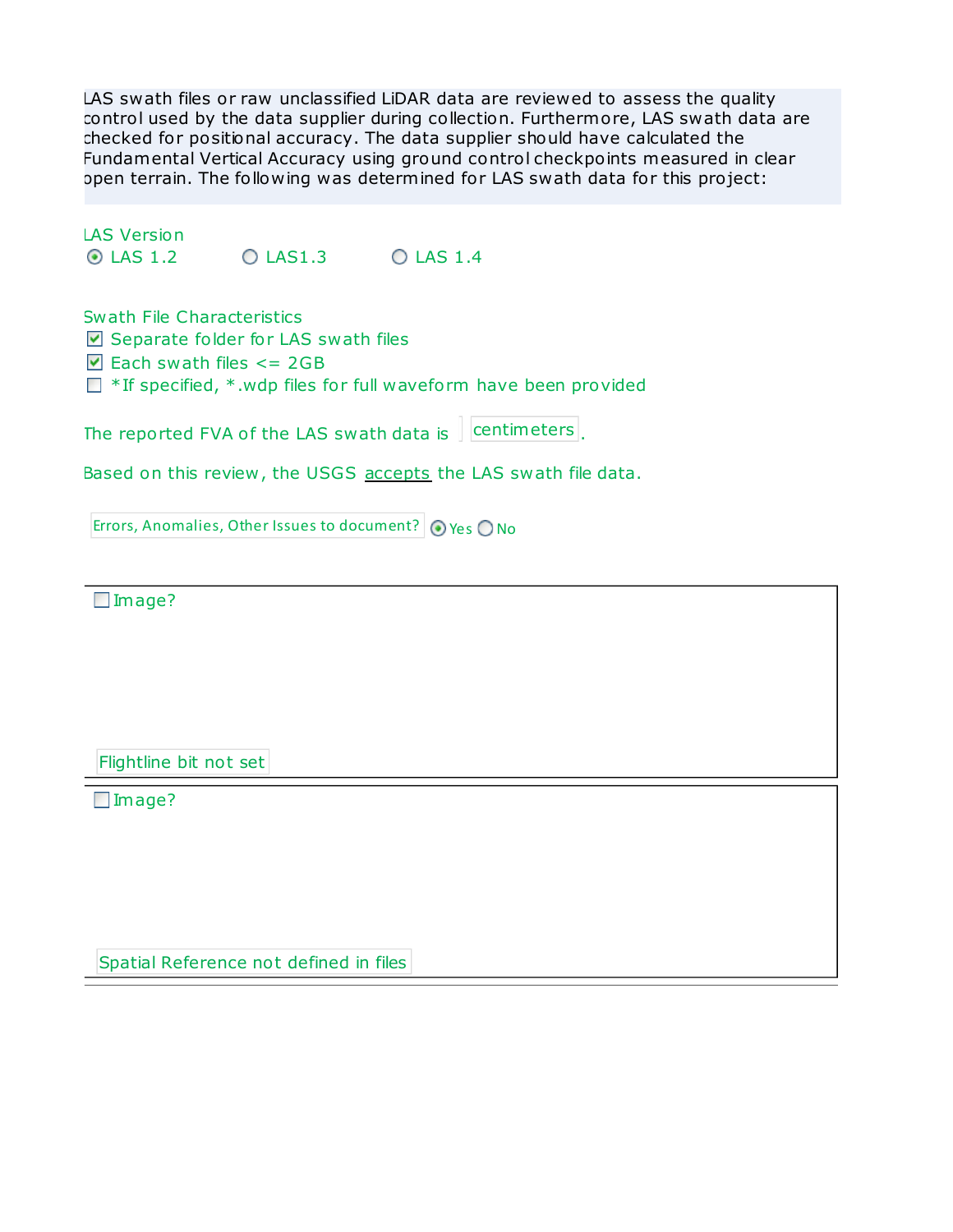LAS swath files or raw unclassified LiDAR data are reviewed to assess the quality control used by the data supplier during collection. Furthermore, LAS swath data are checked for po sitional accuracy. The data supplier should have calculated the Fundamental Vertical Accuracy using ground control checkpoints measured in clear open terrain. The following was determined for LAS swath data for this pro ject:

LAS Version  $\odot$  LAS 1.2  $\odot$  LAS 1.3  $\odot$  LAS 1.4

Swath File Characteristics  $\triangleright$  Separate folder for LAS swath files  $\Box$  Each swath files  $\leq$  2GB  $\Box$  \* If specified, \*.wdp files for full waveform have been provided

The reported FVA of the LAS swath data is  $\sqrt{\frac{1}{1-\epsilon}}$  centimeters.

Based on this review, the USGS accepts the LAS swath file data.

Errors, Anomalies, Other Issues to document?  $\bigcirc$  Yes  $\bigcirc$  No

□Image?

Flightline bit not set

□Image?

Spatial Reference not defined in files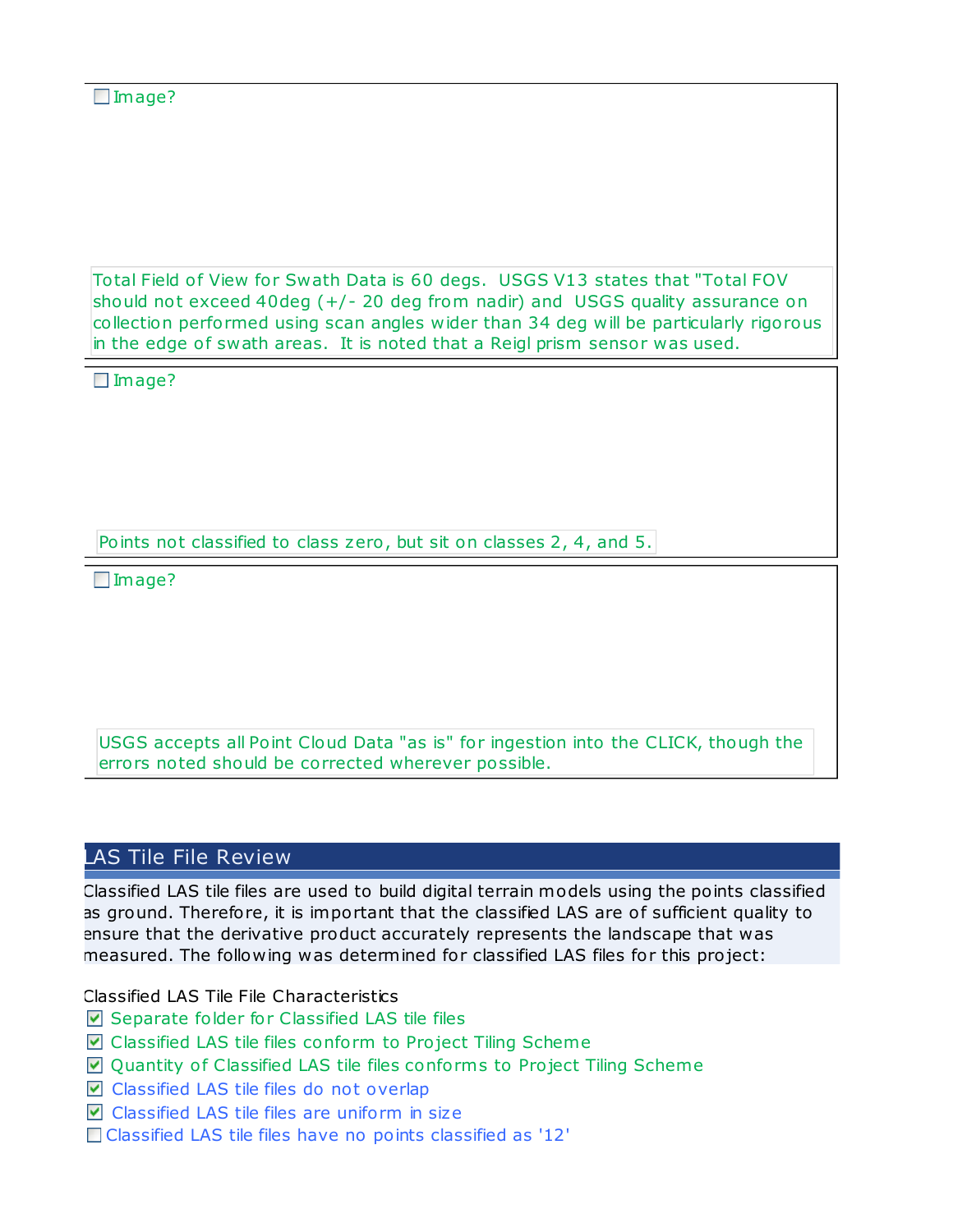Total Field of View for Swath Data is 60 degs. USGS V13 states that "Total FOV should not exceed 40deg  $(+/- 20$  deg from nadir) and USGS quality assurance on collection performed using scan angles wider than 34 deg will be particularly rigorous in the edge of swath areas. It is noted that a Reigl prism sensor was used.

□Image?

Points not classified to class zero, but sit on classes 2, 4, and 5.

□Image?

USGS accepts all Point Cloud Data "as is" for ingestion into the CLICK, though the errors noted should be corrected wherever possible.

### LAS Tile File Review

Classified LAS tile files are used to build digital terrain models using the points classified as ground. Therefore, it is important that the classified LAS are of sufficient quality to ensure that the derivative product accurately represents the landscape that was measured. The following was determined for classified LAS files for this pro ject:

Classified LAS Tile File Characteristics

- $\nabla$  Separate folder for Classified LAS tile files
- **Classified LAS tile files conform to Project Tiling Scheme**
- $\blacksquare$  Quantity of Classified LAS tile files conforms to Project Tiling Scheme
- $\triangledown$  Classified LAS tile files do not overlap
- $\nabla$  Classified LAS tile files are uniform in size
- □ Classified LAS tile files have no points classified as '12'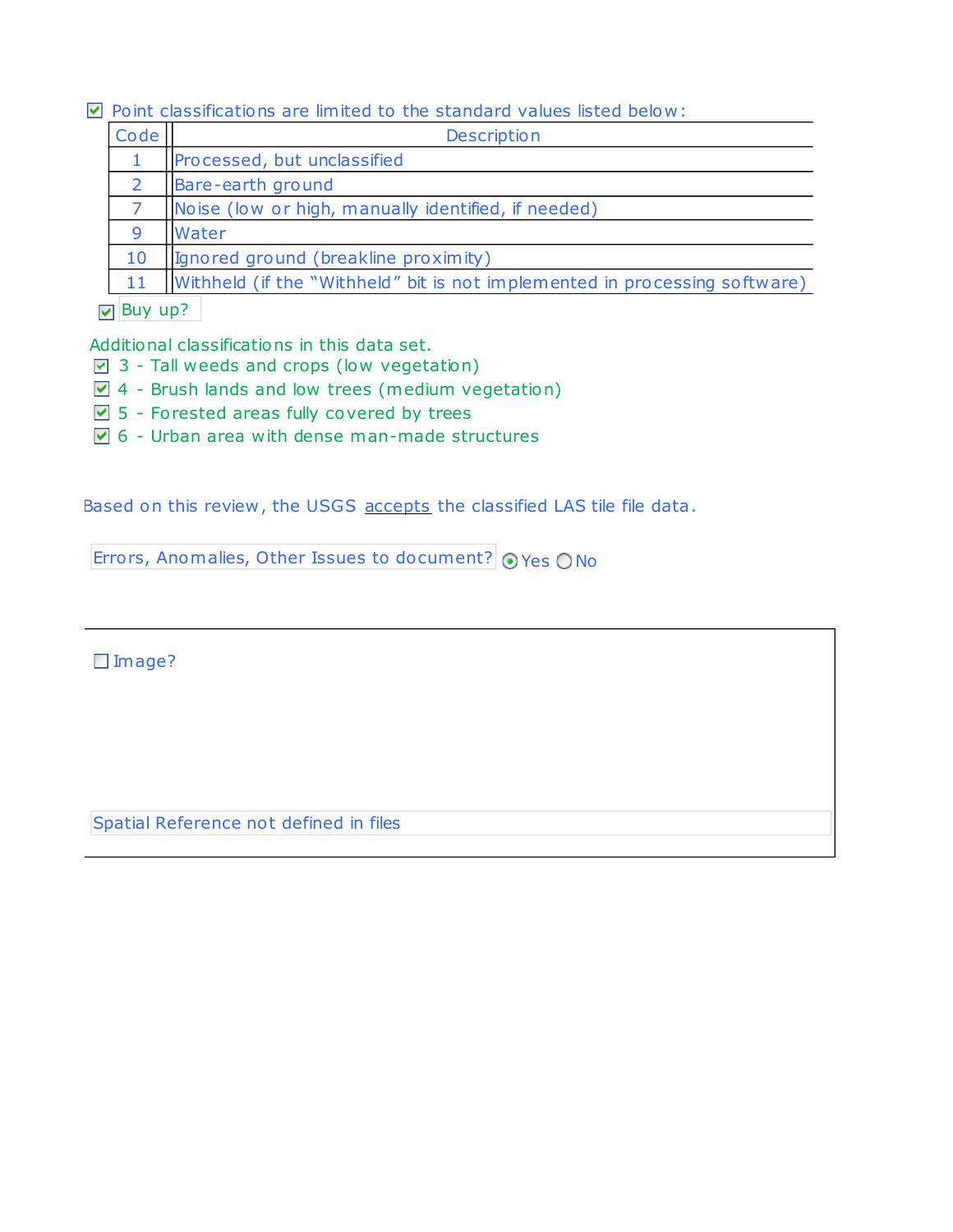#### $\nabla$  Point classifications are limited to the standard values listed below:

| Code         | <b>Description</b>                                                         |
|--------------|----------------------------------------------------------------------------|
|              | Processed, but unclassified                                                |
| <sup>2</sup> | Bare-earth ground                                                          |
|              | Noise (low or high, manually identified, if needed)                        |
| 9            | Water                                                                      |
| 10           | (Ignored ground (breakline proximity)                                      |
| 11           | Withheld (if the "Withheld" bit is not implemented in processing software) |

### $\sqrt{2}$  Buy up?

Additional classifications in this data set.

- $\overline{9}$  3 Tall weeds and crops (low vegetation)
- 4 Brush lands and low trees (medium vegetation)
- $\triangledown$  5 Forested areas fully covered by trees
- $\triangledown$  6 Urban area with dense man-made structures

Based on this review , the USGS accepts the classified LAS tile file data.

Errors, Anomalies, Other Issues to document?  $\odot$  Yes ONo

Image?

Spatial Reference not defined in files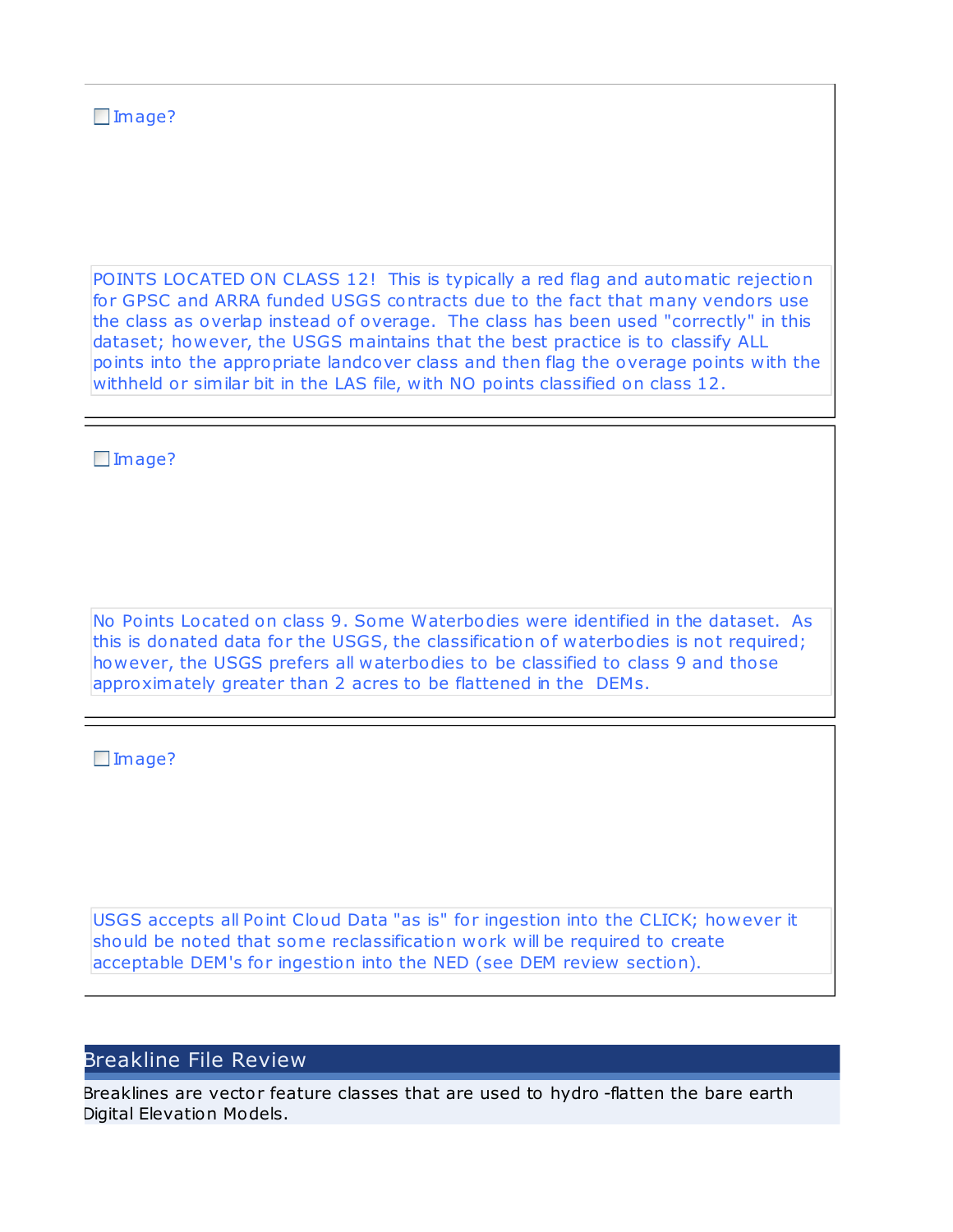### Image?

POINTS LOCATED ON CLASS 12! This is typically a red flag and automatic rejection for GPSC and ARRA funded USGS contracts due to the fact that many vendors use the class as overlap instead of overage. The class has been used "correctly" in this dataset; however, the USGS maintains that the best practice is to classify ALL points into the appropriate landcover class and then flag the overage points with the withheld or similar bit in the LAS file, with NO points classified on class 12.

□Image?

No Points Lo cated on class 9. Some Waterbodies were identified in the dataset. As this is donated data for the USGS, the classification of waterbodies is not required; however, the USGS prefers all waterbodies to be classified to class 9 and tho se approximately greater than 2 acres to be flattened in the DEMs.

□Image?

USGS accepts all Point Cloud Data "as is" for ingestion into the CLICK; however it should be noted that some reclassification work will be required to create acceptable DEM's for ingestion into the NED (see DEM review section).

### Breakline File Review

Breaklines are vector feature classes that are used to hydro -flatten the bare earth Digital Elevation Models.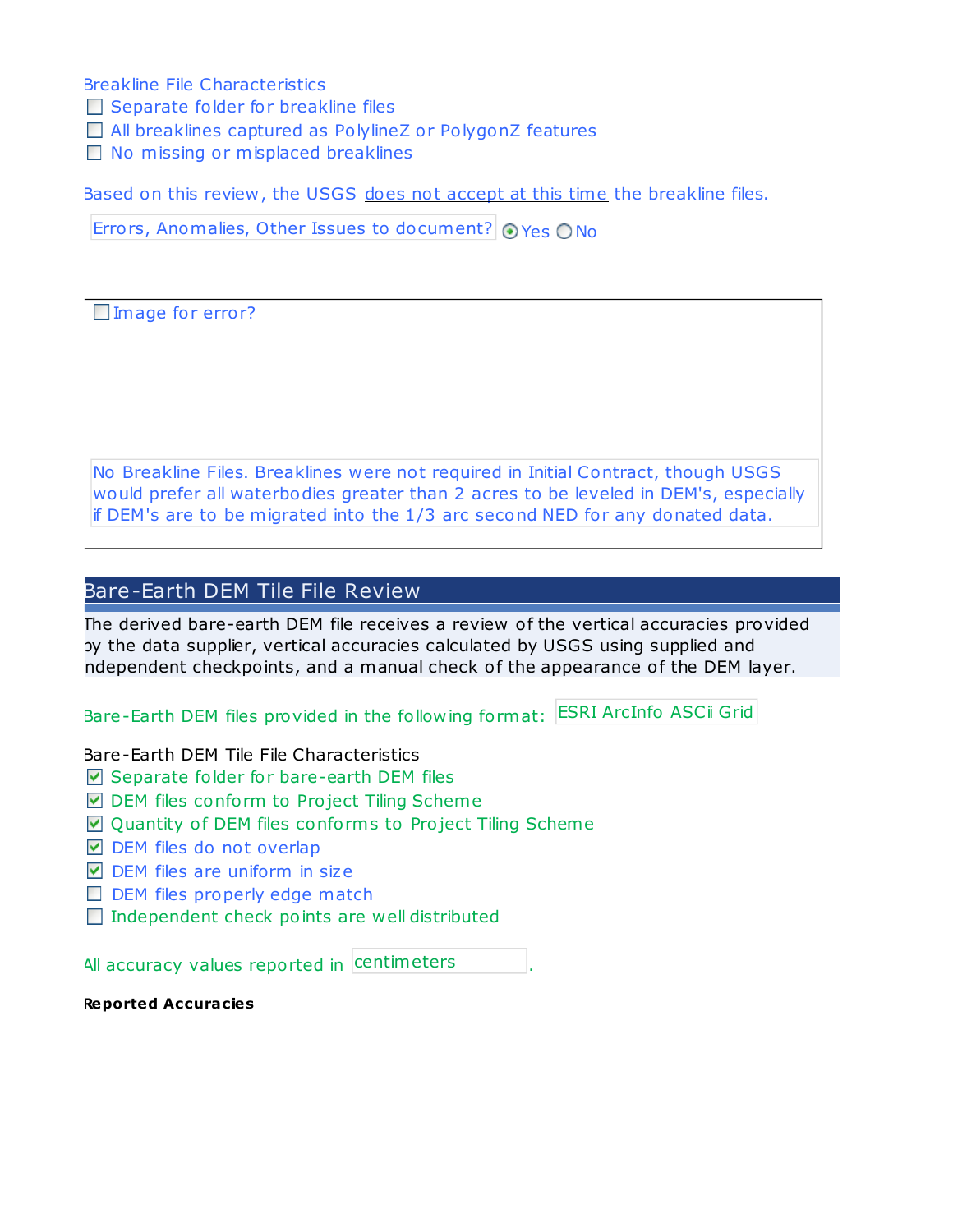Breakline File Characteristics

- $\Box$  Separate folder for breakline files
- □ All breaklines captured as PolylineZ or PolygonZ features
- □ No missing or misplaced breaklines

Based on this review, the USGS does not accept at this time the breakline files.

Errors, Anomalies, Other Issues to document?  $\odot$  Yes  $\odot$  No

□Image for error?

No Breakline Files. Breaklines were not required in Initial Contract, though USGS would prefer all waterbodies greater than 2 acres to be leveled in DEM's, especially if DEM's are to be migrated into the 1/3 arc second NED for any donated data.

### Bare-Earth DEM Tile File Review

The derived bare-earth DEM file receives a review of the vertical accuracies provided by the data supplier, vertical accuracies calculated by USGS using supplied and independent checkpoints, and a manual check of the appearance of the DEM layer.

Bare-Earth DEM files provided in the following format: ESRI ArcInfo ASCii Grid

Bare-Earth DEM Tile File Characteristics

- $\nabla$  Separate folder for bare-earth DEM files
- **■** DEM files conform to Project Tiling Scheme
- $\Box$  Quantity of DEM files conforms to Project Tiling Scheme
- $\nabla$  DEM files do not overlap
- $\nabla$  DEM files are uniform in size
- $\Box$  DEM files properly edge match
- $\Box$  Independent check points are well distributed

All accuracy values reported in . centimeters

**Reported Accuracies**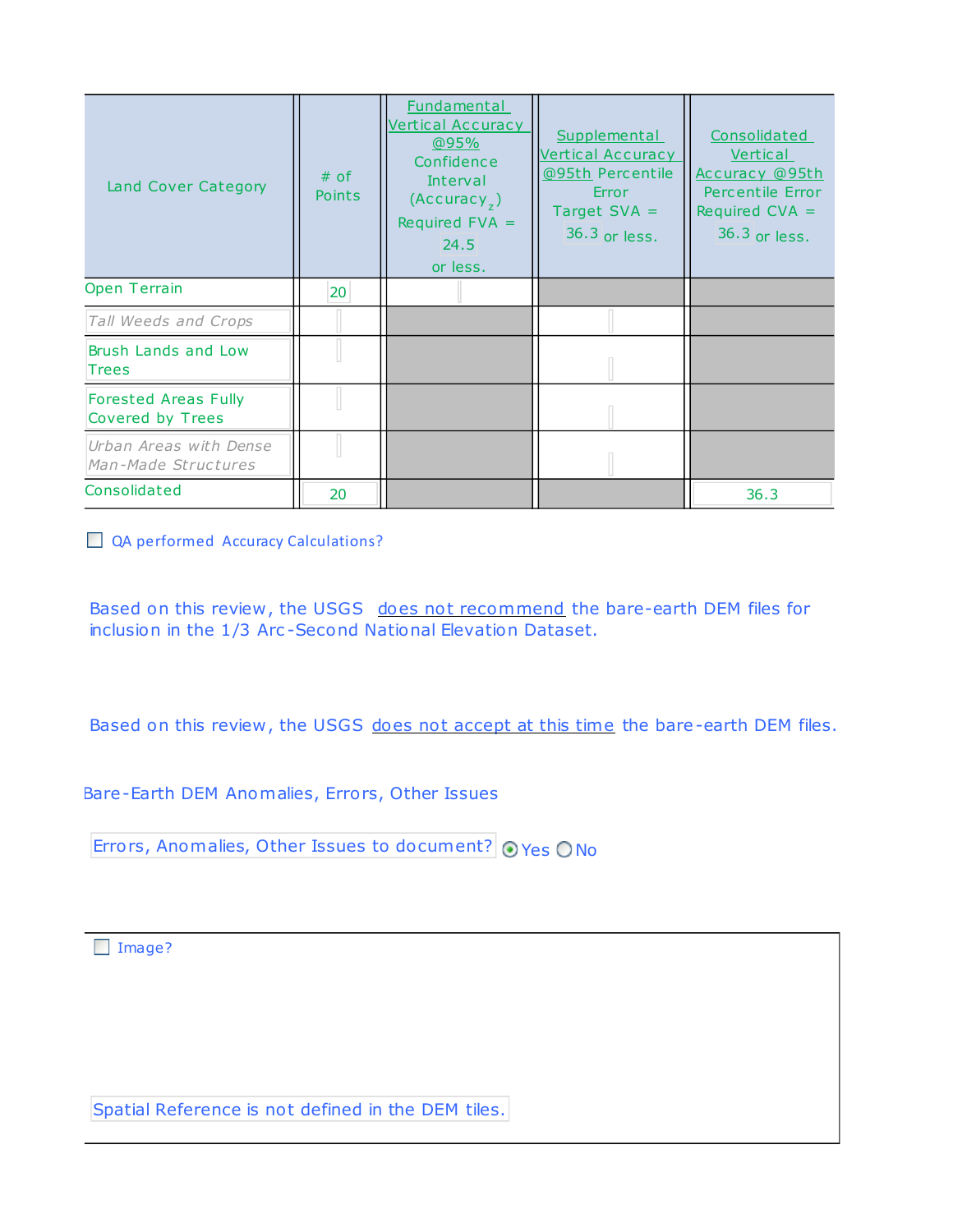| Land Cover Category                             | $#$ of<br><b>Points</b> | Fundamental<br><b>Vertical Accuracy</b><br>@95%<br>Confidence<br>Interval<br>(Accuracy <sub>7</sub> )<br>Required $FVA =$<br>24.5<br>or less. | Supplemental<br><b>Vertical Accuracy</b><br>@95th Percentile<br>Error<br>Target $SVA =$<br>36.3 or less. | Consolidated<br>Vertical<br>Accuracy @95th<br>Percentile Error<br>Required $CVA =$<br>36.3 or less. |
|-------------------------------------------------|-------------------------|-----------------------------------------------------------------------------------------------------------------------------------------------|----------------------------------------------------------------------------------------------------------|-----------------------------------------------------------------------------------------------------|
| <b>Open Terrain</b>                             | 20                      |                                                                                                                                               |                                                                                                          |                                                                                                     |
| Tall Weeds and Crops                            |                         |                                                                                                                                               |                                                                                                          |                                                                                                     |
| Brush Lands and Low<br><b>Trees</b>             |                         |                                                                                                                                               |                                                                                                          |                                                                                                     |
| <b>Forested Areas Fully</b><br>Covered by Trees |                         |                                                                                                                                               |                                                                                                          |                                                                                                     |
| Urban Areas with Dense<br>Man-Made Structures   |                         |                                                                                                                                               |                                                                                                          |                                                                                                     |
| Consolidated                                    | 20                      |                                                                                                                                               |                                                                                                          | 36.3                                                                                                |

QA performed Accuracy Calculations?

Based on this review, the USGS does not recommend the bare-earth DEM files for inclusion in the 1/3 Arc -Second National Elevation Dataset.

Based on this review, the USGS does not accept at this time the bare-earth DEM files.

Bare-Earth DEM Anomalies, Errors, Other Issues

Errors, Anomalies, Other Issues to document?  $\odot$  Yes  $\odot$  No

Image?

Spatial Reference is not defined in the DEM tiles.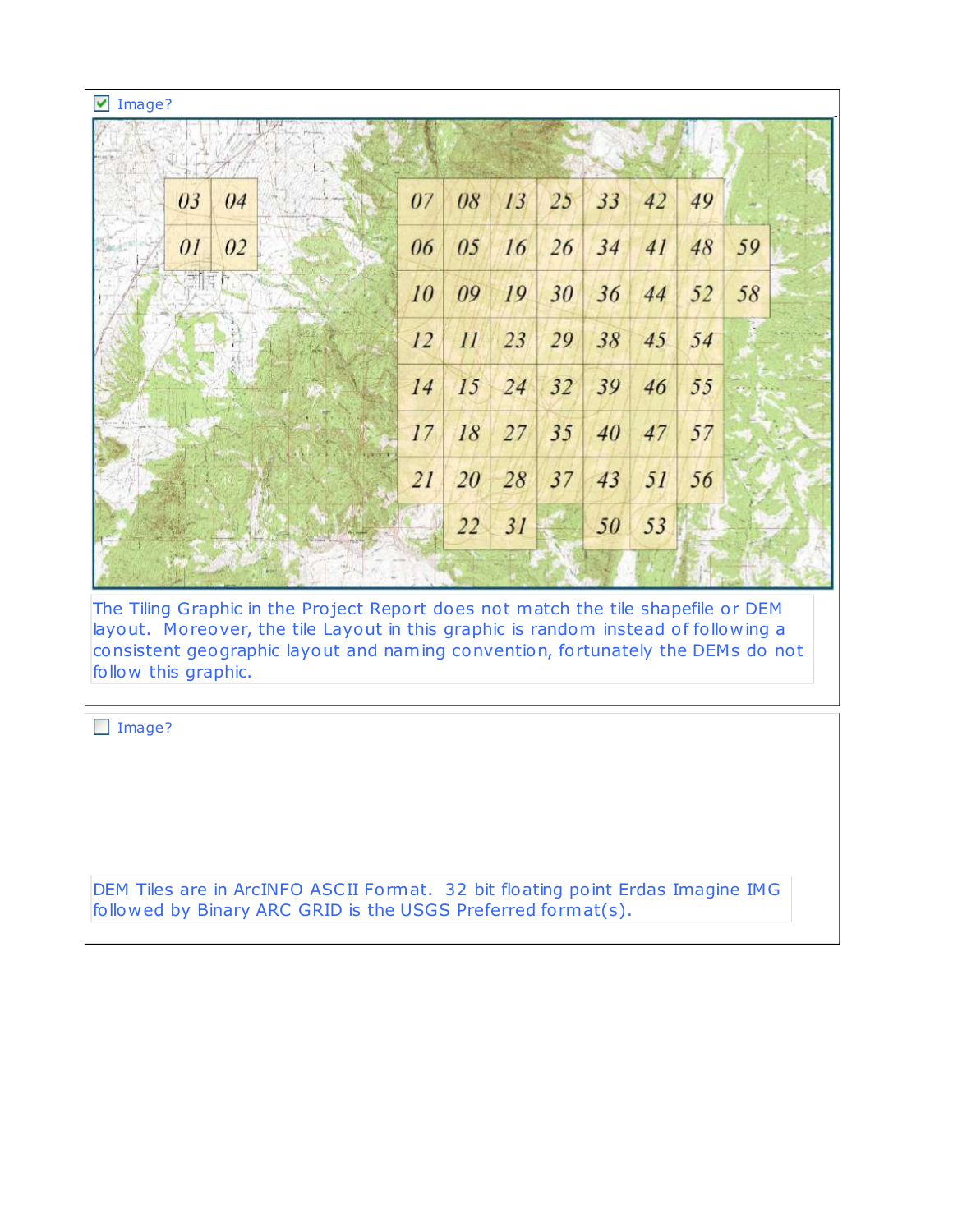| ⊻<br>Image? |    |    |    |    |    |    |    |    |            |
|-------------|----|----|----|----|----|----|----|----|------------|
|             |    |    |    |    |    |    |    |    |            |
| 03<br>04    | 07 | 08 | 13 | 25 | 33 | 42 | 49 |    |            |
| 01<br>02    | 06 | 05 | 16 | 26 | 34 | 41 | 48 | 59 |            |
| 原情有         | 10 | 09 | 19 | 30 | 36 | 44 | 52 | 58 |            |
|             | 12 | 11 | 23 | 29 | 38 | 45 | 54 |    |            |
|             | 14 | 15 | 24 | 32 | 39 | 46 | 55 |    | $\Delta x$ |
|             | 17 | 18 | 27 | 35 | 40 | 47 | 57 |    |            |
|             | 21 | 20 | 28 | 37 | 43 | 51 | 56 |    |            |
|             |    | 22 | 31 |    | 50 | 53 |    |    |            |
|             |    |    |    |    |    |    |    |    |            |

The Tiling Graphic in the Project Report does not match the tile shapefile or DEM layout. Moreover, the tile Layout in this graphic is random instead of following a consistent geographic layout and naming convention, fortunately the DEMs do not follow this graphic.

□ Image?

DEM Tiles are in ArcINFO ASCII Format. 32 bit floating point Erdas Imagine IMG followed by Binary ARC GRID is the USGS Preferred format(s).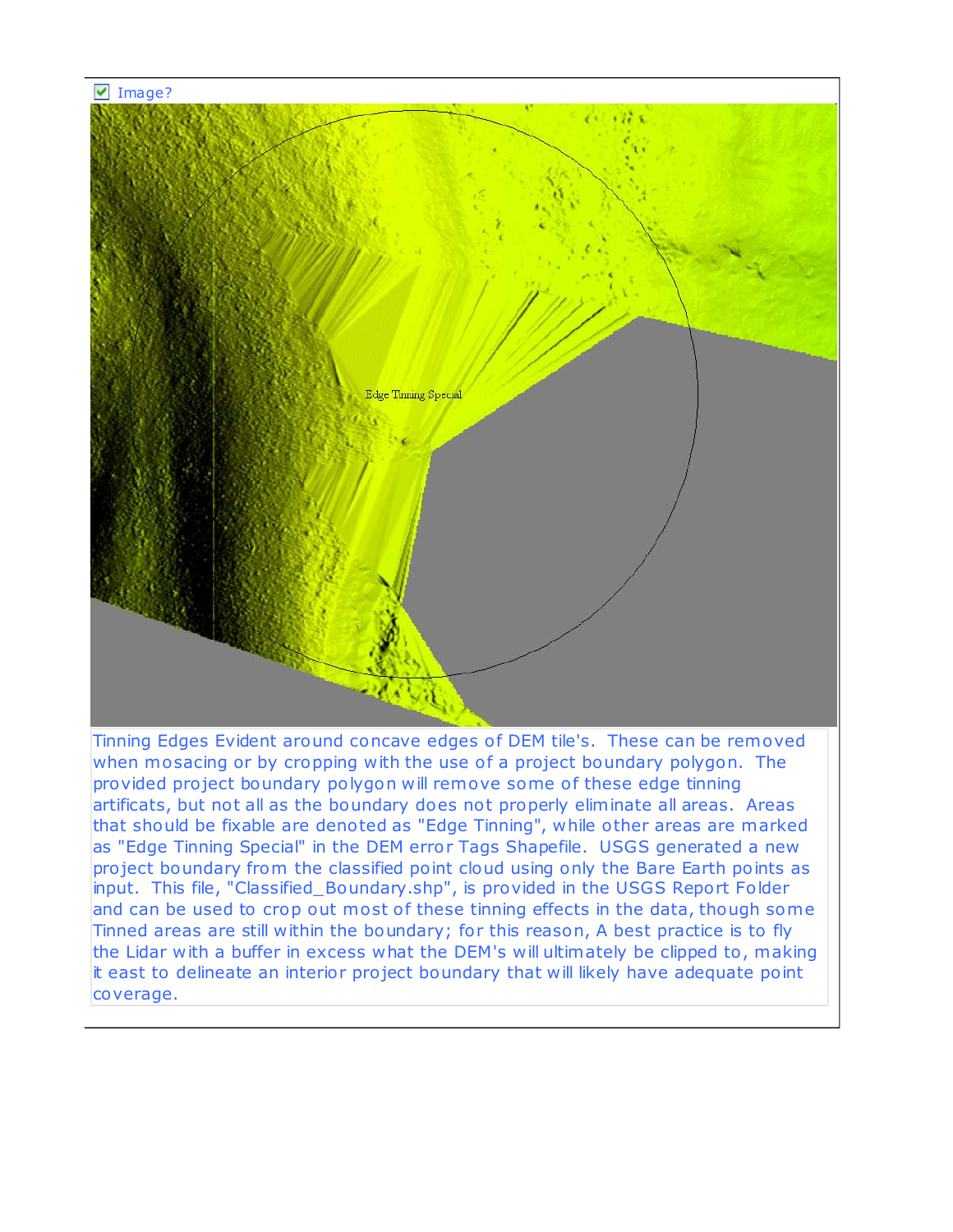

Tinning Edges Evident around concave edges of DEM tile's. These can be removed when mosacing or by cropping with the use of a project boundary polygon. The provided project boundary polygon will remove some of these edge tinning artificats, but not all as the boundary does not properly eliminate all areas. Areas that should be fixable are denoted as "Edge Tinning", while other areas are marked as "Edge Tinning Special" in the DEM error Tags Shapefile. USGS generated a new pro ject boundary from the classified point cloud using only the Bare Earth points as input. This file, "Classified\_Boundary.shp", is provided in the USGS Report Folder and can be used to crop out most of these tinning effects in the data, though some Tinned areas are still within the boundary; for this reason, A best practice is to fly the Lidar with a buffer in excess what the DEM's will ultimately be clipped to , making it east to delineate an interior pro ject boundary that will likely have adequate point coverage.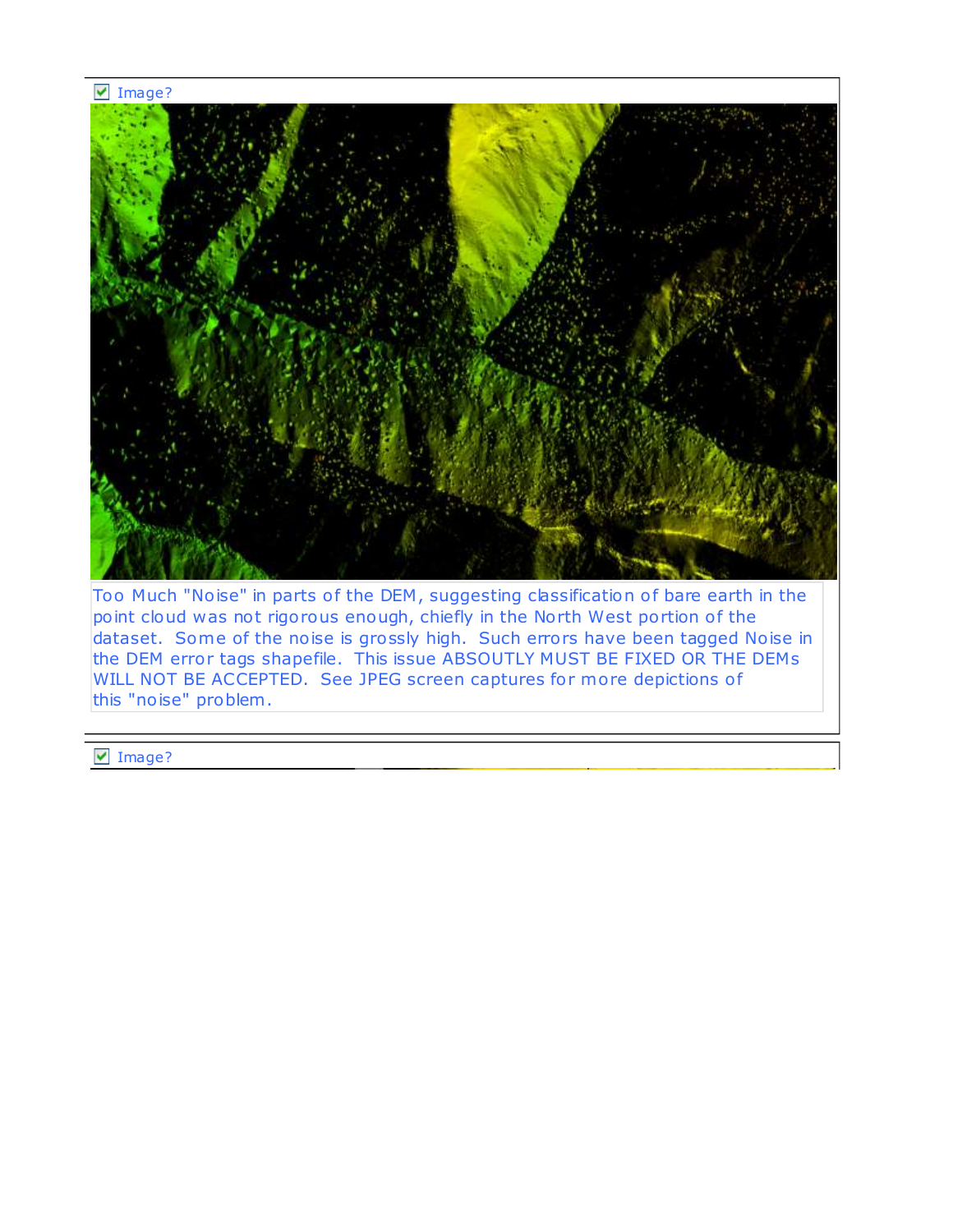#### $\n **Image?**\n$



Too Much "Noise" in parts of the DEM, suggesting classification of bare earth in the point cloud was not rigorous enough, chiefly in the North West portion of the dataset. Some of the noise is grossly high. Such errors have been tagged Noise in the DEM error tags shapefile. This issue ABSOUTLY MUST BE FIXED OR THE DEMs WILL NOT BE ACCEPTED. See JPEG screen captures for more depictions of this "noise" problem .

▼ Image?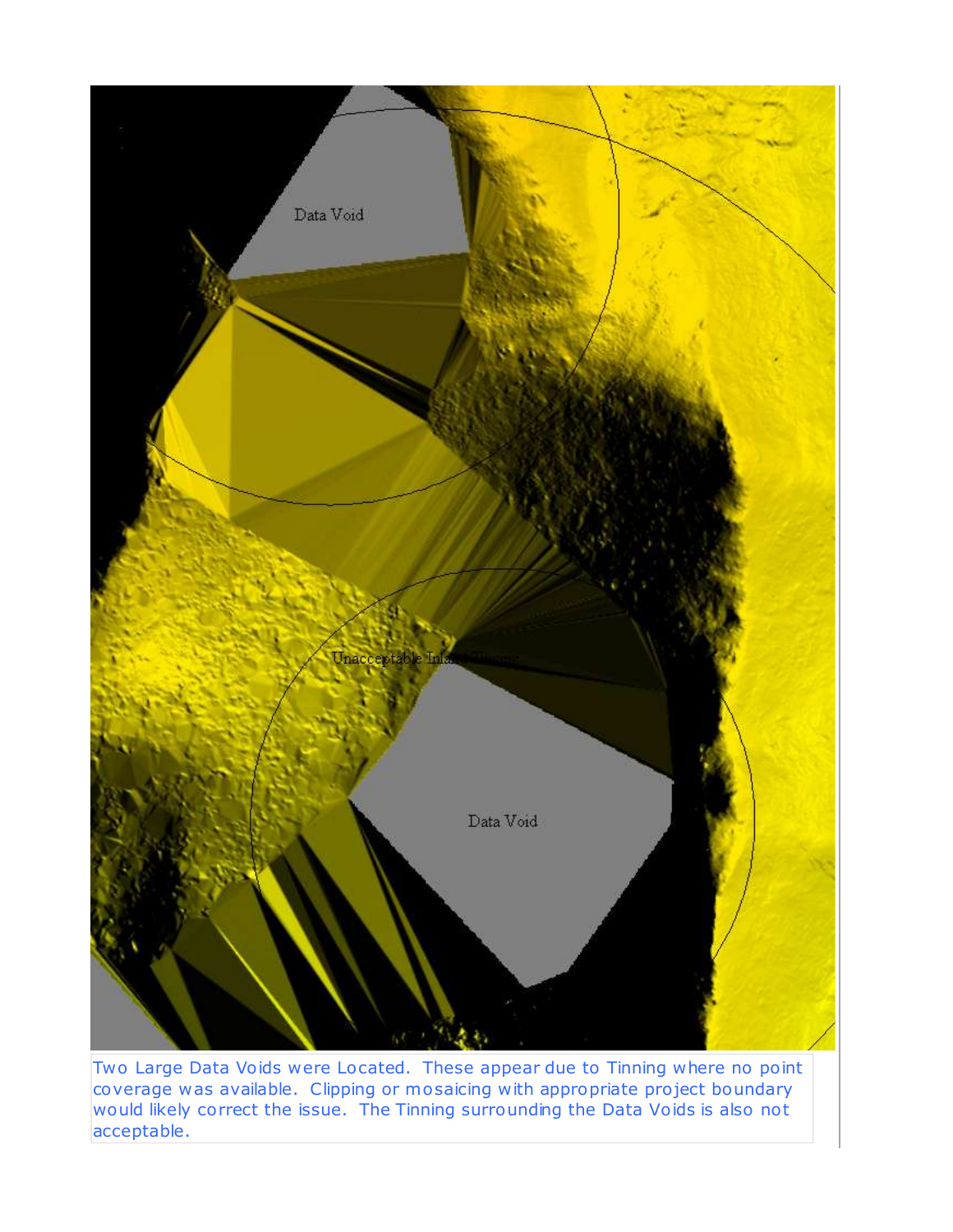

Two Large Data Voids were Located. These appear due to Tinning where no point coverage was available. Clipping or mosaicing with appropriate pro ject boundary would likely correct the issue. The Tinning surrounding the Data Voids is also not acceptable.